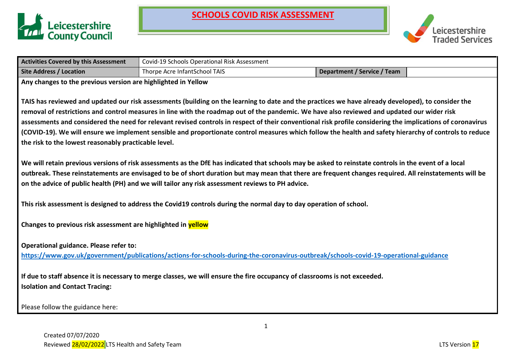



| <b>Activities Covered by this Assessment</b>                                                                                                       | Covid-19 Schools Operational Risk Assessment                                                                               |                                                                                                                                                             |  |  |  |  |  |  |  |
|----------------------------------------------------------------------------------------------------------------------------------------------------|----------------------------------------------------------------------------------------------------------------------------|-------------------------------------------------------------------------------------------------------------------------------------------------------------|--|--|--|--|--|--|--|
| <b>Site Address / Location</b>                                                                                                                     | Thorpe Acre InfantSchool TAIS                                                                                              | <b>Department / Service / Team</b>                                                                                                                          |  |  |  |  |  |  |  |
| Any changes to the previous version are highlighted in Yellow                                                                                      |                                                                                                                            |                                                                                                                                                             |  |  |  |  |  |  |  |
|                                                                                                                                                    |                                                                                                                            |                                                                                                                                                             |  |  |  |  |  |  |  |
| TAIS has reviewed and updated our risk assessments (building on the learning to date and the practices we have already developed), to consider the |                                                                                                                            |                                                                                                                                                             |  |  |  |  |  |  |  |
| removal of restrictions and control measures in line with the roadmap out of the pandemic. We have also reviewed and updated our wider risk        |                                                                                                                            |                                                                                                                                                             |  |  |  |  |  |  |  |
|                                                                                                                                                    |                                                                                                                            | assessments and considered the need for relevant revised controls in respect of their conventional risk profile considering the implications of coronavirus |  |  |  |  |  |  |  |
|                                                                                                                                                    |                                                                                                                            | (COVID-19). We will ensure we implement sensible and proportionate control measures which follow the health and safety hierarchy of controls to reduce      |  |  |  |  |  |  |  |
| the risk to the lowest reasonably practicable level.                                                                                               |                                                                                                                            |                                                                                                                                                             |  |  |  |  |  |  |  |
|                                                                                                                                                    |                                                                                                                            |                                                                                                                                                             |  |  |  |  |  |  |  |
|                                                                                                                                                    |                                                                                                                            | We will retain previous versions of risk assessments as the DfE has indicated that schools may be asked to reinstate controls in the event of a local       |  |  |  |  |  |  |  |
|                                                                                                                                                    |                                                                                                                            | outbreak. These reinstatements are envisaged to be of short duration but may mean that there are frequent changes required. All reinstatements will be      |  |  |  |  |  |  |  |
|                                                                                                                                                    | on the advice of public health (PH) and we will tailor any risk assessment reviews to PH advice.                           |                                                                                                                                                             |  |  |  |  |  |  |  |
|                                                                                                                                                    |                                                                                                                            |                                                                                                                                                             |  |  |  |  |  |  |  |
|                                                                                                                                                    | This risk assessment is designed to address the Covid19 controls during the normal day to day operation of school.         |                                                                                                                                                             |  |  |  |  |  |  |  |
|                                                                                                                                                    |                                                                                                                            |                                                                                                                                                             |  |  |  |  |  |  |  |
| Changes to previous risk assessment are highlighted in yellow                                                                                      |                                                                                                                            |                                                                                                                                                             |  |  |  |  |  |  |  |
|                                                                                                                                                    |                                                                                                                            |                                                                                                                                                             |  |  |  |  |  |  |  |
| Operational guidance. Please refer to:                                                                                                             |                                                                                                                            |                                                                                                                                                             |  |  |  |  |  |  |  |
|                                                                                                                                                    |                                                                                                                            | https://www.gov.uk/government/publications/actions-for-schools-during-the-coronavirus-outbreak/schools-covid-19-operational-guidance                        |  |  |  |  |  |  |  |
|                                                                                                                                                    |                                                                                                                            |                                                                                                                                                             |  |  |  |  |  |  |  |
|                                                                                                                                                    | If due to staff absence it is necessary to merge classes, we will ensure the fire occupancy of classrooms is not exceeded. |                                                                                                                                                             |  |  |  |  |  |  |  |
| <b>Isolation and Contact Tracing:</b>                                                                                                              |                                                                                                                            |                                                                                                                                                             |  |  |  |  |  |  |  |
|                                                                                                                                                    |                                                                                                                            |                                                                                                                                                             |  |  |  |  |  |  |  |
| Please follow the guidance here:                                                                                                                   |                                                                                                                            |                                                                                                                                                             |  |  |  |  |  |  |  |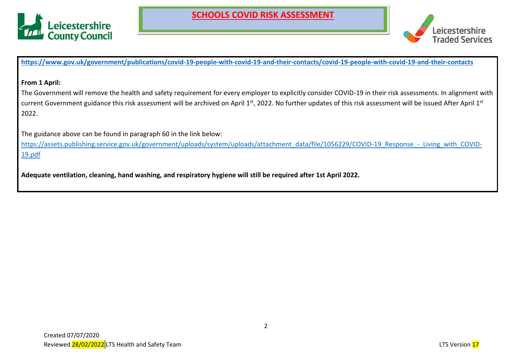



**<https://www.gov.uk/government/publications/covid-19-people-with-covid-19-and-their-contacts/covid-19-people-with-covid-19-and-their-contacts>**

#### **From 1 April:**

The Government will remove the health and safety requirement for every employer to explicitly consider COVID-19 in their risk assessments. In alignment with current Government guidance this risk assessment will be archived on April 1<sup>st</sup>, 2022. No further updates of this risk assessment will be issued After April 1<sup>st</sup> 2022.

The guidance above can be found in paragraph 60 in the link below:

[https://assets.publishing.service.gov.uk/government/uploads/system/uploads/attachment\\_data/file/1056229/COVID-19\\_Response\\_-\\_Living\\_with\\_COVID-](https://assets.publishing.service.gov.uk/government/uploads/system/uploads/attachment_data/file/1056229/COVID-19_Response_-_Living_with_COVID-19.pdf)[19.pdf](https://assets.publishing.service.gov.uk/government/uploads/system/uploads/attachment_data/file/1056229/COVID-19_Response_-_Living_with_COVID-19.pdf)

**Adequate ventilation, cleaning, hand washing, and respiratory hygiene will still be required after 1st April 2022.**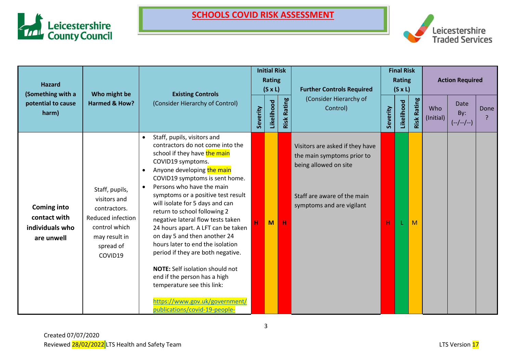



| <b>Hazard</b><br>(Something with a                                  | Who might be                                                                                                                  | <b>Existing Controls</b>                                                                                                                                                                                                                                                                                                                                                                                                                                                                                                                                                                                                                                                                                                         |   | <b>Initial Risk</b><br><b>Rating</b><br>$(S \times L)$ |                    | <b>Further Controls Required</b>                                                                                                                   | <b>Final Risk</b><br><b>Rating</b><br>$(S \times L)$ |            | <b>Action Required</b> |                  |                            |      |
|---------------------------------------------------------------------|-------------------------------------------------------------------------------------------------------------------------------|----------------------------------------------------------------------------------------------------------------------------------------------------------------------------------------------------------------------------------------------------------------------------------------------------------------------------------------------------------------------------------------------------------------------------------------------------------------------------------------------------------------------------------------------------------------------------------------------------------------------------------------------------------------------------------------------------------------------------------|---|--------------------------------------------------------|--------------------|----------------------------------------------------------------------------------------------------------------------------------------------------|------------------------------------------------------|------------|------------------------|------------------|----------------------------|------|
| Harmed & How?<br>potential to cause<br>harm)                        |                                                                                                                               | (Consider Hierarchy of Control)                                                                                                                                                                                                                                                                                                                                                                                                                                                                                                                                                                                                                                                                                                  |   | Likelihood                                             | <b>Risk Rating</b> | (Consider Hierarchy of<br>Control)                                                                                                                 | Severity                                             | Likelihood | <b>Risk Rating</b>     | Who<br>(Initial) | Date<br>By:<br>$(-/-/-/-)$ | Done |
| <b>Coming into</b><br>contact with<br>individuals who<br>are unwell | Staff, pupils,<br>visitors and<br>contractors.<br>Reduced infection<br>control which<br>may result in<br>spread of<br>COVID19 | Staff, pupils, visitors and<br>$\bullet$<br>contractors do not come into the<br>school if they have the main<br>COVID19 symptoms.<br>Anyone developing the main<br>$\bullet$<br>COVID19 symptoms is sent home.<br>Persons who have the main<br>$\bullet$<br>symptoms or a positive test result<br>will isolate for 5 days and can<br>return to school following 2<br>negative lateral flow tests taken<br>24 hours apart. A LFT can be taken<br>on day 5 and then another 24<br>hours later to end the isolation<br>period if they are both negative.<br><b>NOTE:</b> Self isolation should not<br>end if the person has a high<br>temperature see this link:<br>https://www.gov.uk/government/<br>publications/covid-19-people- | н | M                                                      | Н                  | Visitors are asked if they have<br>the main symptoms prior to<br>being allowed on site<br>Staff are aware of the main<br>symptoms and are vigilant | Н                                                    |            | M                      |                  |                            |      |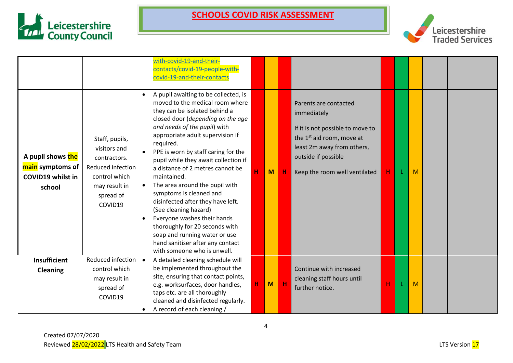



|                                                                             |                                                                                                                               | with-covid-19-and-their-<br>contacts/covid-19-people-with-<br>covid-19-and-their-contacts<br>A pupil awaiting to be collected, is<br>moved to the medical room where                                                                                                                                                                                                                                                                                                                                                                                                                  |    |   |             | Parents are contacted                                                                                                                                                          |   |   |  |  |
|-----------------------------------------------------------------------------|-------------------------------------------------------------------------------------------------------------------------------|---------------------------------------------------------------------------------------------------------------------------------------------------------------------------------------------------------------------------------------------------------------------------------------------------------------------------------------------------------------------------------------------------------------------------------------------------------------------------------------------------------------------------------------------------------------------------------------|----|---|-------------|--------------------------------------------------------------------------------------------------------------------------------------------------------------------------------|---|---|--|--|
| A pupil shows the<br>main symptoms of<br><b>COVID19 whilst in</b><br>school | Staff, pupils,<br>visitors and<br>contractors.<br>Reduced infection<br>control which<br>may result in<br>spread of<br>COVID19 | they can be isolated behind a<br>closed door (depending on the age<br>and needs of the pupil) with<br>appropriate adult supervision if<br>required.<br>PPE is worn by staff caring for the<br>pupil while they await collection if<br>a distance of 2 metres cannot be<br>maintained.<br>The area around the pupil with<br>symptoms is cleaned and<br>disinfected after they have left.<br>(See cleaning hazard)<br>Everyone washes their hands<br>thoroughly for 20 seconds with<br>soap and running water or use<br>hand sanitiser after any contact<br>with someone who is unwell. | H. | M | Н           | immediately<br>If it is not possible to move to<br>the 1 <sup>st</sup> aid room, move at<br>least 2m away from others,<br>outside if possible<br>Keep the room well ventilated | н | M |  |  |
| <b>Insufficient</b>                                                         | Reduced infection                                                                                                             | A detailed cleaning schedule will                                                                                                                                                                                                                                                                                                                                                                                                                                                                                                                                                     |    |   |             |                                                                                                                                                                                |   |   |  |  |
| <b>Cleaning</b>                                                             | control which<br>may result in<br>spread of<br>COVID19                                                                        | be implemented throughout the<br>site, ensuring that contact points,<br>e.g. worksurfaces, door handles,<br>taps etc. are all thoroughly<br>cleaned and disinfected regularly.<br>A record of each cleaning /                                                                                                                                                                                                                                                                                                                                                                         | н  | M | $\mathbf H$ | Continue with increased<br>cleaning staff hours until<br>further notice.                                                                                                       | н | M |  |  |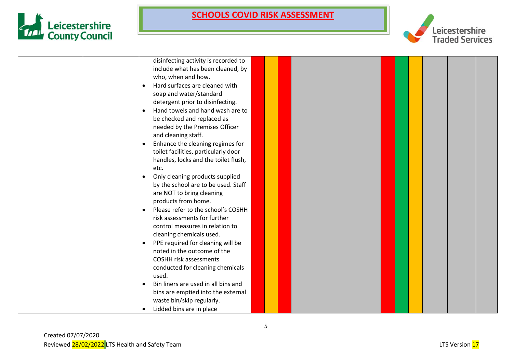



| disinfecting activity is recorded to            |
|-------------------------------------------------|
| include what has been cleaned, by               |
| who, when and how.                              |
| Hard surfaces are cleaned with                  |
| soap and water/standard                         |
| detergent prior to disinfecting.                |
| Hand towels and hand wash are to<br>$\bullet$   |
| be checked and replaced as                      |
| needed by the Premises Officer                  |
| and cleaning staff.                             |
| Enhance the cleaning regimes for                |
| toilet facilities, particularly door            |
| handles, locks and the toilet flush,            |
| etc.                                            |
| Only cleaning products supplied<br>$\bullet$    |
| by the school are to be used. Staff             |
| are NOT to bring cleaning                       |
| products from home.                             |
| Please refer to the school's COSHH<br>$\bullet$ |
| risk assessments for further                    |
| control measures in relation to                 |
| cleaning chemicals used.                        |
| PPE required for cleaning will be               |
| noted in the outcome of the                     |
| <b>COSHH risk assessments</b>                   |
| conducted for cleaning chemicals                |
| used.<br>Bin liners are used in all bins and    |
| bins are emptied into the external              |
| waste bin/skip regularly.                       |
| Lidded bins are in place                        |
|                                                 |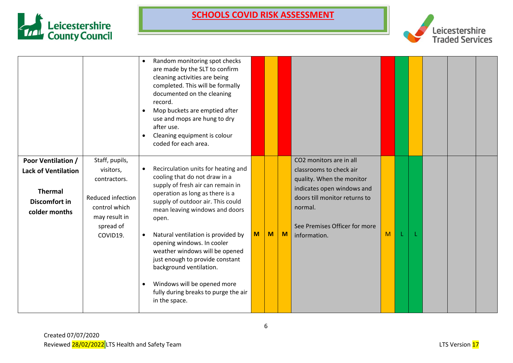



|                                                                                                             |                                                                                                                             | Random monitoring spot checks<br>$\bullet$<br>are made by the SLT to confirm<br>cleaning activities are being<br>completed. This will be formally<br>documented on the cleaning<br>record.<br>Mop buckets are emptied after<br>$\bullet$<br>use and mops are hung to dry<br>after use.<br>Cleaning equipment is colour<br>$\bullet$<br>coded for each area.                                                                                                                                           |   |   |   |                                                                                                                                                                                                            |   |  |  |  |
|-------------------------------------------------------------------------------------------------------------|-----------------------------------------------------------------------------------------------------------------------------|-------------------------------------------------------------------------------------------------------------------------------------------------------------------------------------------------------------------------------------------------------------------------------------------------------------------------------------------------------------------------------------------------------------------------------------------------------------------------------------------------------|---|---|---|------------------------------------------------------------------------------------------------------------------------------------------------------------------------------------------------------------|---|--|--|--|
| <b>Poor Ventilation /</b><br><b>Lack of Ventilation</b><br><b>Thermal</b><br>Discomfort in<br>colder months | Staff, pupils,<br>visitors,<br>contractors.<br>Reduced infection<br>control which<br>may result in<br>spread of<br>COVID19. | Recirculation units for heating and<br>cooling that do not draw in a<br>supply of fresh air can remain in<br>operation as long as there is a<br>supply of outdoor air. This could<br>mean leaving windows and doors<br>open.<br>Natural ventilation is provided by<br>opening windows. In cooler<br>weather windows will be opened<br>just enough to provide constant<br>background ventilation.<br>Windows will be opened more<br>$\bullet$<br>fully during breaks to purge the air<br>in the space. | M | M | M | CO2 monitors are in all<br>classrooms to check air<br>quality. When the monitor<br>indicates open windows and<br>doors till monitor returns to<br>normal.<br>See Premises Officer for more<br>information. | M |  |  |  |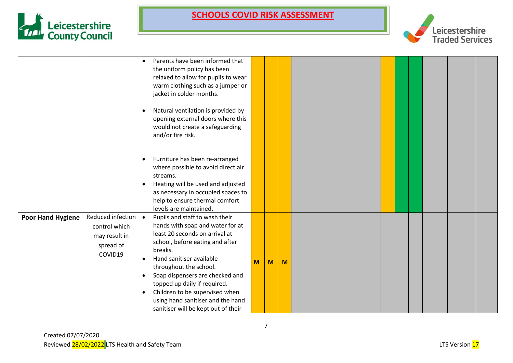



|                          |                                                                             | $\bullet$<br>$\bullet$<br>$\bullet$<br>$\bullet$ | Parents have been informed that<br>the uniform policy has been<br>relaxed to allow for pupils to wear<br>warm clothing such as a jumper or<br>jacket in colder months.<br>Natural ventilation is provided by<br>opening external doors where this<br>would not create a safeguarding<br>and/or fire risk.<br>Furniture has been re-arranged<br>where possible to avoid direct air<br>streams.<br>Heating will be used and adjusted<br>as necessary in occupied spaces to<br>help to ensure thermal comfort |   |   |   |  |  |  |  |
|--------------------------|-----------------------------------------------------------------------------|--------------------------------------------------|------------------------------------------------------------------------------------------------------------------------------------------------------------------------------------------------------------------------------------------------------------------------------------------------------------------------------------------------------------------------------------------------------------------------------------------------------------------------------------------------------------|---|---|---|--|--|--|--|
|                          |                                                                             |                                                  | levels are maintained.                                                                                                                                                                                                                                                                                                                                                                                                                                                                                     |   |   |   |  |  |  |  |
| <b>Poor Hand Hygiene</b> | Reduced infection<br>control which<br>may result in<br>spread of<br>COVID19 | $\bullet$<br>$\bullet$<br>$\bullet$              | Pupils and staff to wash their<br>hands with soap and water for at<br>least 20 seconds on arrival at<br>school, before eating and after<br>breaks.<br>Hand sanitiser available<br>throughout the school.<br>Soap dispensers are checked and<br>topped up daily if required.<br>Children to be supervised when<br>using hand sanitiser and the hand<br>sanitiser will be kept out of their                                                                                                                  | M | M | M |  |  |  |  |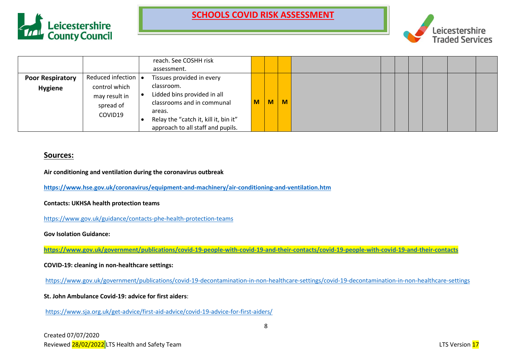



|                                           |                                                                                                   | reach. See COSHH risk<br>assessment.                                                                                                                                                         |   |   |          |  |  |  |  |
|-------------------------------------------|---------------------------------------------------------------------------------------------------|----------------------------------------------------------------------------------------------------------------------------------------------------------------------------------------------|---|---|----------|--|--|--|--|
| <b>Poor Respiratory</b><br><b>Hygiene</b> | Reduced infection $\vert \bullet \vert$<br>control which<br>may result in<br>spread of<br>COVID19 | Tissues provided in every<br>classroom.<br>Lidded bins provided in all<br>classrooms and in communal<br>areas.<br>Relay the "catch it, kill it, bin it"<br>approach to all staff and pupils. | M | M | <b>M</b> |  |  |  |  |

#### **Sources:**

**Air conditioning and ventilation during the coronavirus outbreak**

**<https://www.hse.gov.uk/coronavirus/equipment-and-machinery/air-conditioning-and-ventilation.htm>**

**Contacts: UKHSA health protection teams**

<https://www.gov.uk/guidance/contacts-phe-health-protection-teams>

**Gov Isolation Guidance:**

**<https://www.gov.uk/government/publications/covid-19-people-with-covid-19-and-their-contacts/covid-19-people-with-covid-19-and-their-contacts>**

**COVID-19: cleaning in non-healthcare settings:**

<https://www.gov.uk/government/publications/covid-19-decontamination-in-non-healthcare-settings/covid-19-decontamination-in-non-healthcare-settings>

**St. John Ambulance Covid-19: advice for first aiders**:

<https://www.sja.org.uk/get-advice/first-aid-advice/covid-19-advice-for-first-aiders/>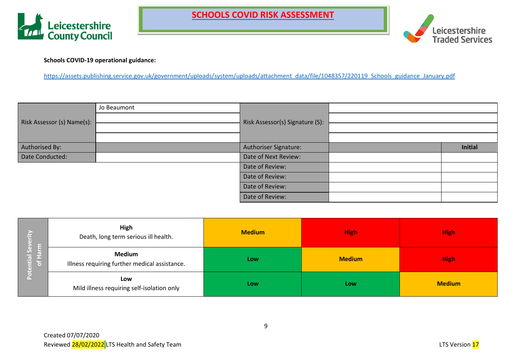



**Schools COVID-19 operational guidance:**

[https://assets.publishing.service.gov.uk/government/uploads/system/uploads/attachment\\_data/file/1048357/220119\\_Schools\\_guidance\\_January.pdf](https://assets.publishing.service.gov.uk/government/uploads/system/uploads/attachment_data/file/1048357/220119_Schools_guidance_January.pdf)

|                            | Jo Beaumont |                                 |         |
|----------------------------|-------------|---------------------------------|---------|
| Risk Assessor (s) Name(s): |             | Risk Assessor(s) Signature (S): |         |
|                            |             |                                 |         |
|                            |             |                                 |         |
| Authorised By:             |             | Authoriser Signature:           | Initial |
| Date Conducted:            |             | Date of Next Review:            |         |
|                            |             | Date of Review:                 |         |
|                            |             | Date of Review:                 |         |
|                            |             | Date of Review:                 |         |
|                            |             | Date of Review:                 |         |

|                    | <b>High</b><br>Death, long term serious ill health.            | <b>Medium</b> | <b>High</b>   | <b>High</b>   |
|--------------------|----------------------------------------------------------------|---------------|---------------|---------------|
| ntial So<br>of Har | <b>Medium</b><br>Illness requiring further medical assistance. | Low           | <b>Medium</b> | <b>High</b>   |
|                    | Low<br>Mild illness requiring self-isolation only              | Low           | Low           | <b>Medium</b> |

9